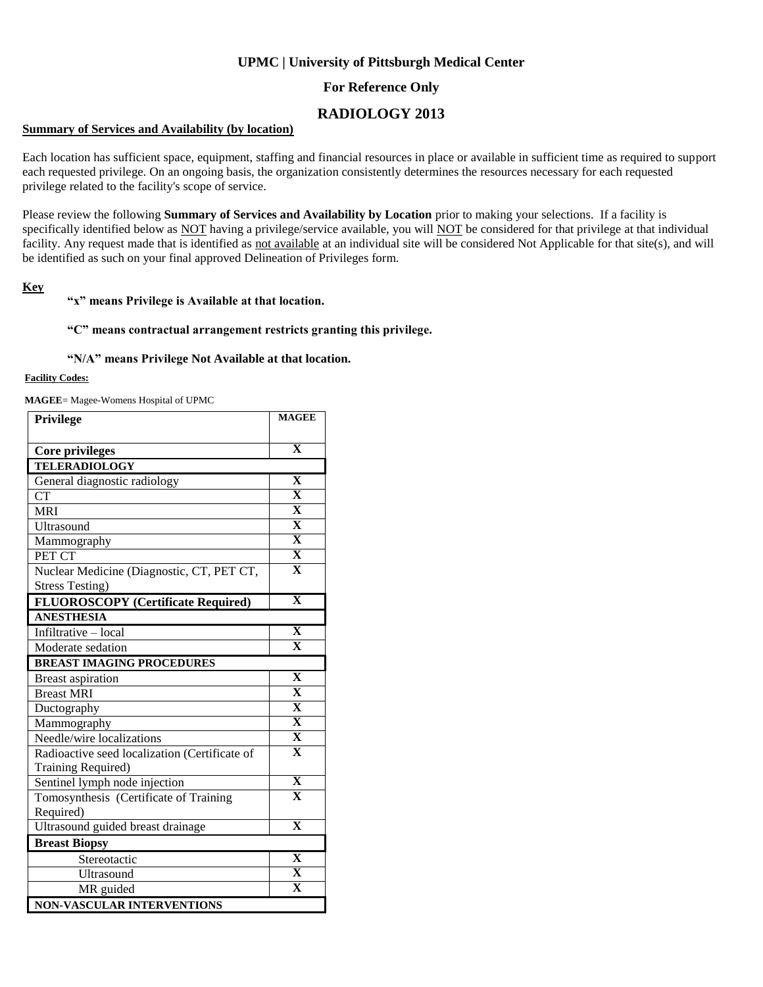## **UPMC | University of Pittsburgh Medical Center**

## **For Reference Only**

# **RADIOLOGY 2013**

#### **Summary of Services and Availability (by location)**

Each location has sufficient space, equipment, staffing and financial resources in place or available in sufficient time as required to support each requested privilege. On an ongoing basis, the organization consistently determines the resources necessary for each requested privilege related to the facility's scope of service.

Please review the following **Summary of Services and Availability by Location** prior to making your selections. If a facility is specifically identified below as NOT having a privilege/service available, you will NOT be considered for that privilege at that individual facility. Any request made that is identified as not available at an individual site will be considered Not Applicable for that site(s), and will be identified as such on your final approved Delineation of Privileges form.

### **Key**

#### **"x" means Privilege is Available at that location.**

#### **"C" means contractual arrangement restricts granting this privilege.**

#### **"N/A" means Privilege Not Available at that location.**

### **Facility Codes:**

**MAGEE**= Magee-Womens Hospital of UPMC

| <b>Privilege</b>                              | <b>MAGEE</b>            |
|-----------------------------------------------|-------------------------|
|                                               | $\overline{\mathbf{X}}$ |
| Core privileges                               |                         |
| <b>TELERADIOLOGY</b>                          | $\overline{\mathbf{X}}$ |
| General diagnostic radiology                  |                         |
| <b>CT</b>                                     | $\overline{\mathbf{X}}$ |
| <b>MRI</b>                                    | $\overline{\mathbf{X}}$ |
| Ultrasound                                    | $\overline{\mathbf{X}}$ |
| Mammography                                   | $\overline{\mathbf{X}}$ |
| PET CT                                        | $\overline{\mathbf{X}}$ |
| Nuclear Medicine (Diagnostic, CT, PET CT,     | $\overline{\mathbf{X}}$ |
| <b>Stress Testing)</b>                        |                         |
| <b>FLUOROSCOPY</b> (Certificate Required)     | $\mathbf X$             |
| <b>ANESTHESIA</b>                             |                         |
| Infiltrative - local                          | $\mathbf X$             |
| Moderate sedation                             | $\mathbf{x}$            |
| <b>BREAST IMAGING PROCEDURES</b>              |                         |
| <b>Breast aspiration</b>                      | $\overline{\mathbf{X}}$ |
| <b>Breast MRI</b>                             | $\overline{\mathbf{X}}$ |
| Ductography                                   | $\overline{\mathbf{X}}$ |
| Mammography                                   | $\overline{\mathbf{X}}$ |
| Needle/wire localizations                     | $\overline{\mathbf{X}}$ |
| Radioactive seed localization (Certificate of | $\overline{\mathbf{X}}$ |
| Training Required)                            |                         |
| Sentinel lymph node injection                 | $\overline{\mathbf{X}}$ |
| Tomosynthesis (Certificate of Training        | $\overline{\mathbf{X}}$ |
| Required)                                     |                         |
| Ultrasound guided breast drainage             | $\overline{\mathbf{X}}$ |
| <b>Breast Biopsy</b>                          |                         |
| Stereotactic                                  | $\mathbf X$             |
| Ultrasound                                    | $\overline{\mathbf{X}}$ |
| MR guided                                     | $\overline{\mathbf{x}}$ |
| NON-VASCULAR INTERVENTIONS                    |                         |